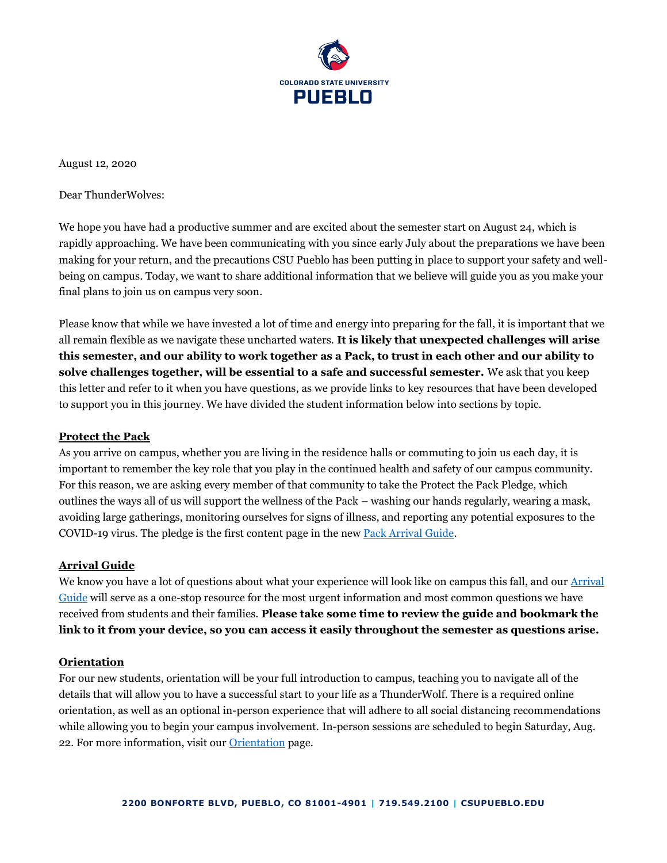

August 12, 2020

Dear ThunderWolves:

We hope you have had a productive summer and are excited about the semester start on August 24, which is rapidly approaching. We have been communicating with you since early July about the preparations we have been making for your return, and the precautions CSU Pueblo has been putting in place to support your safety and wellbeing on campus. Today, we want to share additional information that we believe will guide you as you make your final plans to join us on campus very soon.

Please know that while we have invested a lot of time and energy into preparing for the fall, it is important that we all remain flexible as we navigate these uncharted waters. **It is likely that unexpected challenges will arise this semester, and our ability to work together as a Pack, to trust in each other and our ability to solve challenges together, will be essential to a safe and successful semester.** We ask that you keep this letter and refer to it when you have questions, as we provide links to key resources that have been developed to support you in this journey. We have divided the student information below into sections by topic.

# **Protect the Pack**

As you arrive on campus, whether you are living in the residence halls or commuting to join us each day, it is important to remember the key role that you play in the continued health and safety of our campus community. For this reason, we are asking every member of that community to take the Protect the Pack Pledge, which outlines the ways all of us will support the wellness of the Pack – washing our hands regularly, wearing a mask, avoiding large gatherings, monitoring ourselves for signs of illness, and reporting any potential exposures to the COVID-19 virus. The pledge is the first content page in the new [Pack Arrival Guide.](https://www.csupueblo.edu/coronavirus/_doc/student-affairs-return-to-campus-guide.pdf)

# **Arrival Guide**

We know you have a lot of questions about what your experience will look like on campus this fall, and our Arrival [Guide](https://www.csupueblo.edu/coronavirus/_doc/student-affairs-return-to-campus-guide.pdf) will serve as a one-stop resource for the most urgent information and most common questions we have received from students and their families. **Please take some time to review the guide and bookmark the link to it from your device, so you can access it easily throughout the semester as questions arise.**

# **Orientation**

For our new students, orientation will be your full introduction to campus, teaching you to navigate all of the details that will allow you to have a successful start to your life as a ThunderWolf. There is a required online orientation, as well as an optional in-person experience that will adhere to all social distancing recommendations while allowing you to begin your campus involvement. In-person sessions are scheduled to begin Saturday, Aug. 22. For more information, visit our [Orientation](https://www.csupueblo.edu/student-engagement-and-leadership/orientation/index.html) page.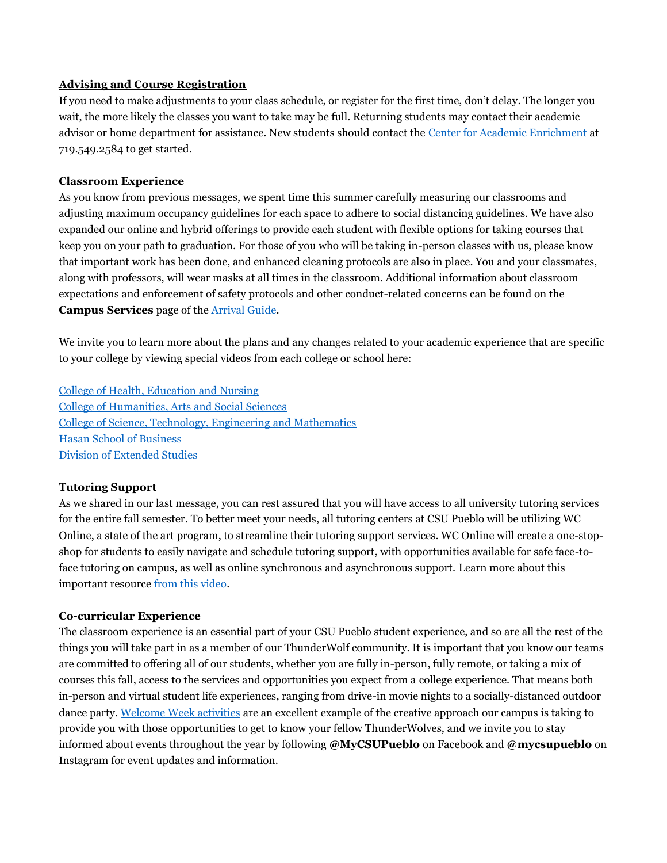# **Advising and Course Registration**

If you need to make adjustments to your class schedule, or register for the first time, don't delay. The longer you wait, the more likely the classes you want to take may be full. Returning students may contact their academic advisor or home department for assistance. New students should contact the [Center for Academic Enrichment](https://www.csupueblo.edu/center-for-academic-enrichment/index.html) at 719.549.2584 to get started.

# **Classroom Experience**

As you know from previous messages, we spent time this summer carefully measuring our classrooms and adjusting maximum occupancy guidelines for each space to adhere to social distancing guidelines. We have also expanded our online and hybrid offerings to provide each student with flexible options for taking courses that keep you on your path to graduation. For those of you who will be taking in-person classes with us, please know that important work has been done, and enhanced cleaning protocols are also in place. You and your classmates, along with professors, will wear masks at all times in the classroom. Additional information about classroom expectations and enforcement of safety protocols and other conduct-related concerns can be found on the **Campus Services** page of the [Arrival Guide.](https://www.csupueblo.edu/coronavirus/_doc/student-affairs-return-to-campus-guide.pdf)

We invite you to learn more about the plans and any changes related to your academic experience that are specific to your college by viewing special videos from each college or school here:

[College of Health, Education](https://youtu.be/qnF1knZfQsw) and Nursing [College of Humanities, Arts](https://youtu.be/DOt_V3LKz38) and Social Sciences [College of Science, Technology, Engineering](https://youtu.be/qUdHvP6xjq8) and Mathematics [Hasan School of Business](https://youtu.be/SiXyBvNDLzo) [Division of Extended Studies](https://youtu.be/cjNo1WpvCsY)

# **Tutoring Support**

As we shared in our last message, you can rest assured that you will have access to all university tutoring services for the entire fall semester. To better meet your needs, all tutoring centers at CSU Pueblo will be utilizing WC Online, a state of the art program, to streamline their tutoring support services. WC Online will create a one-stopshop for students to easily navigate and schedule tutoring support, with opportunities available for safe face-toface tutoring on campus, as well as online synchronous and asynchronous support. Learn more about this important resource [from this video.](https://youtu.be/NFtYh1W6Nx8)

# **Co-curricular Experience**

The classroom experience is an essential part of your CSU Pueblo student experience, and so are all the rest of the things you will take part in as a member of our ThunderWolf community. It is important that you know our teams are committed to offering all of our students, whether you are fully in-person, fully remote, or taking a mix of courses this fall, access to the services and opportunities you expect from a college experience. That means both in-person and virtual student life experiences, ranging from drive-in movie nights to a socially-distanced outdoor dance party. [Welcome Week activities](https://www.csupueblo.edu/student-engagement-and-leadership/_doc/wolf-pack-welcome-week-poster.pdf) are an excellent example of the creative approach our campus is taking to provide you with those opportunities to get to know your fellow ThunderWolves, and we invite you to stay informed about events throughout the year by following **@MyCSUPueblo** on Facebook and **@mycsupueblo** on Instagram for event updates and information.